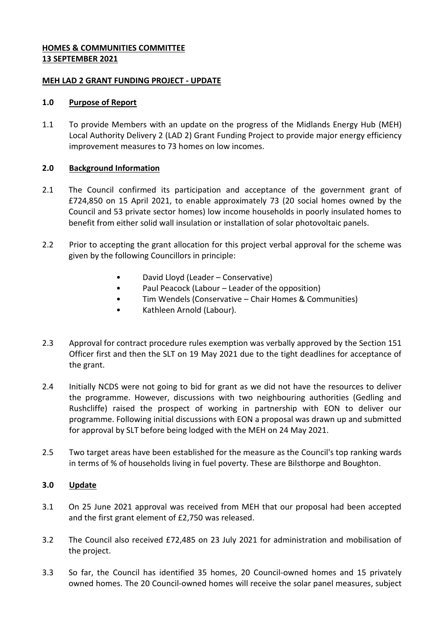### **HOMES & COMMUNITIES COMMITTEE 13 SEPTEMBER 2021**

## **MEH LAD 2 GRANT FUNDING PROJECT - UPDATE**

#### **1.0 Purpose of Report**

1.1 To provide Members with an update on the progress of the Midlands Energy Hub (MEH) Local Authority Delivery 2 (LAD 2) Grant Funding Project to provide major energy efficiency improvement measures to 73 homes on low incomes.

## **2.0 Background Information**

- 2.1 The Council confirmed its participation and acceptance of the government grant of £724,850 on 15 April 2021, to enable approximately 73 (20 social homes owned by the Council and 53 private sector homes) low income households in poorly insulated homes to benefit from either solid wall insulation or installation of solar photovoltaic panels.
- 2.2 Prior to accepting the grant allocation for this project verbal approval for the scheme was given by the following Councillors in principle:
	- David Lloyd (Leader Conservative)
	- Paul Peacock (Labour Leader of the opposition)
	- Tim Wendels (Conservative Chair Homes & Communities)
	- Kathleen Arnold (Labour).
- 2.3 Approval for contract procedure rules exemption was verbally approved by the Section 151 Officer first and then the SLT on 19 May 2021 due to the tight deadlines for acceptance of the grant.
- 2.4 Initially NCDS were not going to bid for grant as we did not have the resources to deliver the programme. However, discussions with two neighbouring authorities (Gedling and Rushcliffe) raised the prospect of working in partnership with EON to deliver our programme. Following initial discussions with EON a proposal was drawn up and submitted for approval by SLT before being lodged with the MEH on 24 May 2021.
- 2.5 Two target areas have been established for the measure as the Council's top ranking wards in terms of % of households living in fuel poverty. These are Bilsthorpe and Boughton.

# **3.0 Update**

- 3.1 On 25 June 2021 approval was received from MEH that our proposal had been accepted and the first grant element of £2,750 was released.
- 3.2 The Council also received £72,485 on 23 July 2021 for administration and mobilisation of the project.
- 3.3 So far, the Council has identified 35 homes, 20 Council-owned homes and 15 privately owned homes. The 20 Council-owned homes will receive the solar panel measures, subject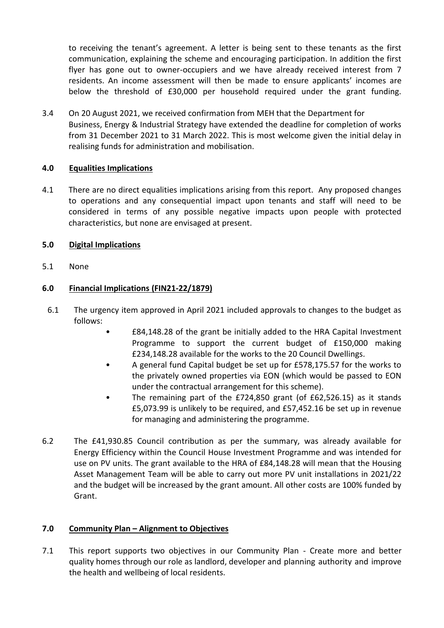to receiving the tenant's agreement. A letter is being sent to these tenants as the first communication, explaining the scheme and encouraging participation. In addition the first flyer has gone out to owner-occupiers and we have already received interest from 7 residents. An income assessment will then be made to ensure applicants' incomes are below the threshold of £30,000 per household required under the grant funding.

3.4 On 20 August 2021, we received confirmation from MEH that the Department for Business, Energy & Industrial Strategy have extended the deadline for completion of works from 31 December 2021 to 31 March 2022. This is most welcome given the initial delay in realising funds for administration and mobilisation.

# **4.0 Equalities Implications**

4.1 There are no direct equalities implications arising from this report. Any proposed changes to operations and any consequential impact upon tenants and staff will need to be considered in terms of any possible negative impacts upon people with protected characteristics, but none are envisaged at present.

## **5.0 Digital Implications**

5.1 None

## **6.0 Financial Implications (FIN21-22/1879)**

- 6.1 The urgency item approved in April 2021 included approvals to changes to the budget as follows:
	- £84,148.28 of the grant be initially added to the HRA Capital Investment Programme to support the current budget of £150,000 making £234,148.28 available for the works to the 20 Council Dwellings.
	- A general fund Capital budget be set up for £578,175.57 for the works to the privately owned properties via EON (which would be passed to EON under the contractual arrangement for this scheme).
	- The remaining part of the £724,850 grant (of £62,526.15) as it stands £5,073.99 is unlikely to be required, and £57,452.16 be set up in revenue for managing and administering the programme.
- 6.2 The £41,930.85 Council contribution as per the summary, was already available for Energy Efficiency within the Council House Investment Programme and was intended for use on PV units. The grant available to the HRA of £84,148.28 will mean that the Housing Asset Management Team will be able to carry out more PV unit installations in 2021/22 and the budget will be increased by the grant amount. All other costs are 100% funded by Grant.

#### **7.0 Community Plan – Alignment to Objectives**

7.1 This report supports two objectives in our Community Plan - Create more and better quality homes through our role as landlord, developer and planning authority and improve the health and wellbeing of local residents.